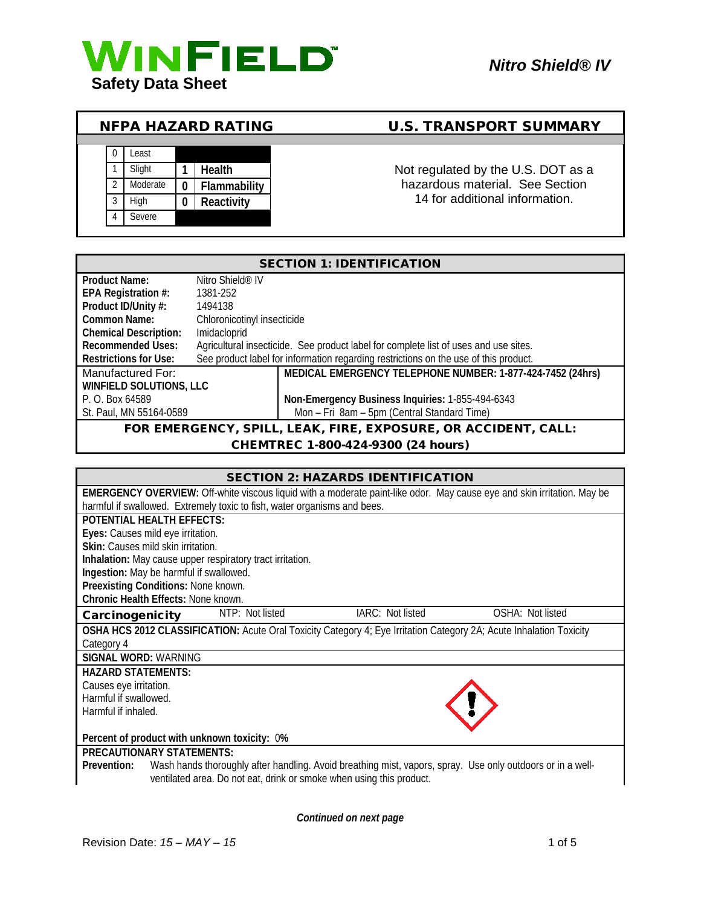

# NFPA HAZARD RATING U.S. TRANSPORT SUMMARY



**1** Slight 1 | Health **1** | Health **1** | Not regulated by the U.S. DOT as a hazardous material. See Section 14 for additional information.

| <b>SECTION 1: IDENTIFICATION</b>                               |                                                                                      |                                                                                      |  |
|----------------------------------------------------------------|--------------------------------------------------------------------------------------|--------------------------------------------------------------------------------------|--|
| Product Name:                                                  | Nitro Shield <sup>®</sup> IV                                                         |                                                                                      |  |
| EPA Registration #:                                            | 1381-252                                                                             |                                                                                      |  |
| Product ID/Unity #:                                            | 1494138                                                                              |                                                                                      |  |
| Common Name:                                                   | Chloronicotinyl insecticide                                                          |                                                                                      |  |
| <b>Chemical Description:</b>                                   | Imidacloprid                                                                         |                                                                                      |  |
| <b>Recommended Uses:</b>                                       | Agricultural insecticide. See product label for complete list of uses and use sites. |                                                                                      |  |
| <b>Restrictions for Use:</b>                                   |                                                                                      | See product label for information regarding restrictions on the use of this product. |  |
| Manufactured For:                                              |                                                                                      | MEDICAL EMERGENCY TELEPHONE NUMBER: 1-877-424-7452 (24hrs)                           |  |
| WINFIELD SOLUTIONS, LLC                                        |                                                                                      |                                                                                      |  |
| P. O. Box 64589                                                |                                                                                      | Non-Emergency Business Inquiries: 1-855-494-6343                                     |  |
| St. Paul, MN 55164-0589                                        |                                                                                      | Mon - Fri 8am - 5pm (Central Standard Time)                                          |  |
| FOR EMERGENCY, SPILL, LEAK, FIRE, EXPOSURE, OR ACCIDENT, CALL: |                                                                                      |                                                                                      |  |
|                                                                | CHEMTREC 1-800-424-9300 (24 hours)                                                   |                                                                                      |  |

### CHEMTREC 1-800-424-9300 (24 hours)

| <b>SECTION 2: HAZARDS IDENTIFICATION</b>                                                                                       |  |
|--------------------------------------------------------------------------------------------------------------------------------|--|
| <b>EMERGENCY OVERVIEW:</b> Off-white viscous liquid with a moderate paint-like odor. May cause eye and skin irritation. May be |  |
| harmful if swallowed. Extremely toxic to fish, water organisms and bees.                                                       |  |
| POTENTIAL HEALTH FEFECTS:                                                                                                      |  |
| Eyes: Causes mild eye irritation.                                                                                              |  |
| Skin: Causes mild skin irritation.                                                                                             |  |
| Inhalation: May cause upper respiratory tract irritation.                                                                      |  |
| Ingestion: May be harmful if swallowed.                                                                                        |  |
| Preexisting Conditions: None known.                                                                                            |  |
| Chronic Health Effects: None known.                                                                                            |  |
| NTP: Not listed<br>IARC: Not listed<br>OSHA: Not listed<br>Carcinogenicity                                                     |  |
| OSHA HCS 2012 CLASSIFICATION: Acute Oral Toxicity Category 4; Eye Irritation Category 2A; Acute Inhalation Toxicity            |  |
| Category 4                                                                                                                     |  |
| SIGNAL WORD: WARNING                                                                                                           |  |
| <b>HAZARD STATEMENTS:</b>                                                                                                      |  |
| Causes eye irritation.                                                                                                         |  |
| Harmful if swallowed.                                                                                                          |  |
| Harmful if inhaled.                                                                                                            |  |
|                                                                                                                                |  |
| Percent of product with unknown toxicity: 0%                                                                                   |  |
| <b>PRECAUTIONARY STATEMENTS:</b>                                                                                               |  |
| Wash hands thoroughly after handling. Avoid breathing mist, vapors, spray. Use only outdoors or in a well-<br>Prevention:      |  |
| ventilated area. Do not eat, drink or smoke when using this product.                                                           |  |

*Continued on next page*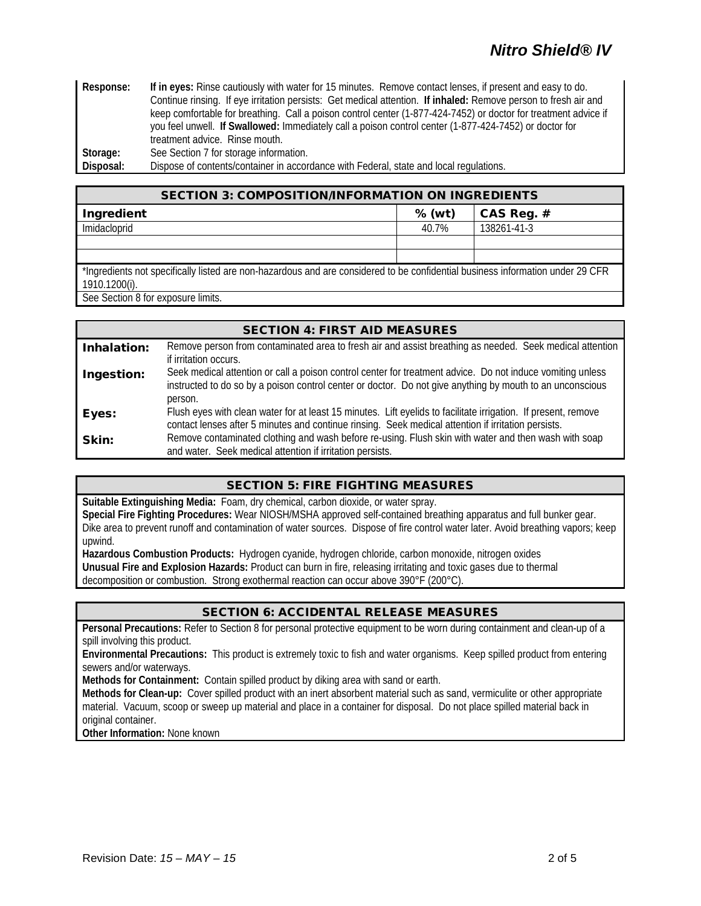| Response: | If in eyes: Rinse cautiously with water for 15 minutes. Remove contact lenses, if present and easy to do.       |  |
|-----------|-----------------------------------------------------------------------------------------------------------------|--|
|           | Continue rinsing. If eye irritation persists: Get medical attention. If inhaled: Remove person to fresh air and |  |
|           | keep comfortable for breathing. Call a poison control center (1-877-424-7452) or doctor for treatment advice if |  |
|           | you feel unwell. If Swallowed: Immediately call a poison control center (1-877-424-7452) or doctor for          |  |
|           | treatment advice. Rinse mouth.                                                                                  |  |
| Storage:  | See Section 7 for storage information.                                                                          |  |
| Disposal: | Dispose of contents/container in accordance with Federal, state and local regulations.                          |  |

| <b>SECTION 3: COMPOSITION/INFORMATION ON INGREDIENTS</b>                                                                                        |          |             |
|-------------------------------------------------------------------------------------------------------------------------------------------------|----------|-------------|
| Ingredient                                                                                                                                      | $%$ (wt) | CAS Reg. #  |
| Imidacloprid                                                                                                                                    | 40.7%    | 138261-41-3 |
|                                                                                                                                                 |          |             |
|                                                                                                                                                 |          |             |
| *Ingredients not specifically listed are non-hazardous and are considered to be confidential business information under 29 CFR<br>1910.1200(i). |          |             |
| See Section 8 for exposure limits.                                                                                                              |          |             |

|             | <b>SECTION 4: FIRST AID MEASURES</b>                                                                                                                                                                                               |
|-------------|------------------------------------------------------------------------------------------------------------------------------------------------------------------------------------------------------------------------------------|
| Inhalation: | Remove person from contaminated area to fresh air and assist breathing as needed. Seek medical attention<br>if irritation occurs.                                                                                                  |
| Ingestion:  | Seek medical attention or call a poison control center for treatment advice. Do not induce vomiting unless<br>instructed to do so by a poison control center or doctor. Do not give anything by mouth to an unconscious<br>person. |
| Eyes:       | Flush eyes with clean water for at least 15 minutes. Lift eyelids to facilitate irrigation. If present, remove<br>contact lenses after 5 minutes and continue rinsing. Seek medical attention if irritation persists.              |
| Skin:       | Remove contaminated clothing and wash before re-using. Flush skin with water and then wash with soap<br>and water. Seek medical attention if irritation persists.                                                                  |

## SECTION 5: FIRE FIGHTING MEASURES

**Suitable Extinguishing Media:** Foam, dry chemical, carbon dioxide, or water spray. **Special Fire Fighting Procedures:** Wear NIOSH/MSHA approved self-contained breathing apparatus and full bunker gear. Dike area to prevent runoff and contamination of water sources. Dispose of fire control water later. Avoid breathing vapors; keep upwind.

**Hazardous Combustion Products:** Hydrogen cyanide, hydrogen chloride, carbon monoxide, nitrogen oxides **Unusual Fire and Explosion Hazards:** Product can burn in fire, releasing irritating and toxic gases due to thermal decomposition or combustion. Strong exothermal reaction can occur above 390°F (200°C).

### SECTION 6: ACCIDENTAL RELEASE MEASURES

**Personal Precautions:** Refer to Section 8 for personal protective equipment to be worn during containment and clean-up of a spill involving this product.

**Environmental Precautions:** This product is extremely toxic to fish and water organisms. Keep spilled product from entering sewers and/or waterways.

**Methods for Containment:** Contain spilled product by diking area with sand or earth.

**Methods for Clean-up:** Cover spilled product with an inert absorbent material such as sand, vermiculite or other appropriate material. Vacuum, scoop or sweep up material and place in a container for disposal. Do not place spilled material back in original container.

**Other Information:** None known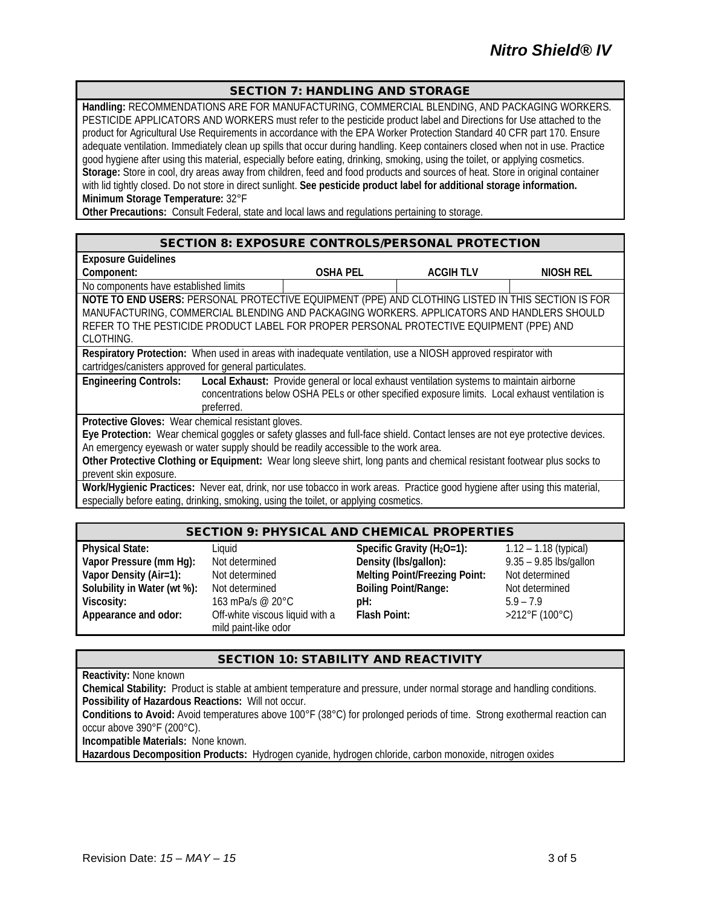## SECTION 7: HANDLING AND STORAGE

**Handling:** RECOMMENDATIONS ARE FOR MANUFACTURING, COMMERCIAL BLENDING, AND PACKAGING WORKERS. PESTICIDE APPLICATORS AND WORKERS must refer to the pesticide product label and Directions for Use attached to the product for Agricultural Use Requirements in accordance with the EPA Worker Protection Standard 40 CFR part 170. Ensure adequate ventilation. Immediately clean up spills that occur during handling. Keep containers closed when not in use. Practice good hygiene after using this material, especially before eating, drinking, smoking, using the toilet, or applying cosmetics. **Storage:** Store in cool, dry areas away from children, feed and food products and sources of heat. Store in original container with lid tightly closed. Do not store in direct sunlight. **See pesticide product label for additional storage information. Minimum Storage Temperature:** 32°F

**Other Precautions:** Consult Federal, state and local laws and regulations pertaining to storage.

## SECTION 8: EXPOSURE CONTROLS/PERSONAL PROTECTION

| <b>Exposure Guidelines</b>                                                                                                   |                 |                                                                                                 |           |
|------------------------------------------------------------------------------------------------------------------------------|-----------------|-------------------------------------------------------------------------------------------------|-----------|
| Component:                                                                                                                   | <b>OSHA PEL</b> | <b>ACGIHTLV</b>                                                                                 | NIOSH REL |
| No components have established limits                                                                                        |                 |                                                                                                 |           |
| NOTE TO END USERS: PERSONAL PROTECTIVE EQUIPMENT (PPE) AND CLOTHING LISTED IN THIS SECTION IS FOR                            |                 |                                                                                                 |           |
| MANUFACTURING, COMMERCIAL BLENDING AND PACKAGING WORKERS. APPLICATORS AND HANDLERS SHOULD                                    |                 |                                                                                                 |           |
| REFER TO THE PESTICIDE PRODUCT LABEL FOR PROPER PERSONAL PROTECTIVE EQUIPMENT (PPE) AND                                      |                 |                                                                                                 |           |
| CLOTHING.                                                                                                                    |                 |                                                                                                 |           |
| Respiratory Protection: When used in areas with inadequate ventilation, use a NIOSH approved respirator with                 |                 |                                                                                                 |           |
| cartridges/canisters approved for general particulates.                                                                      |                 |                                                                                                 |           |
| <b>Engineering Controls:</b>                                                                                                 |                 | Local Exhaust: Provide general or local exhaust ventilation systems to maintain airborne        |           |
|                                                                                                                              |                 | concentrations below OSHA PELs or other specified exposure limits. Local exhaust ventilation is |           |
| preferred.                                                                                                                   |                 |                                                                                                 |           |
| Protective Gloves: Wear chemical resistant gloves.                                                                           |                 |                                                                                                 |           |
| Eye Protection: Wear chemical goggles or safety glasses and full-face shield. Contact lenses are not eye protective devices. |                 |                                                                                                 |           |
| An emergency eyewash or water supply should be readily accessible to the work area.                                          |                 |                                                                                                 |           |
| Other Protective Clothing or Equipment: Wear long sleeve shirt, long pants and chemical resistant footwear plus socks to     |                 |                                                                                                 |           |
| prevent skin exposure.                                                                                                       |                 |                                                                                                 |           |
| Work/Hygienic Practices: Never eat, drink, nor use tobacco in work areas. Practice good hygiene after using this material,   |                 |                                                                                                 |           |
| especially before eating, drinking, smoking, using the toilet, or applying cosmetics.                                        |                 |                                                                                                 |           |

| <b>SECTION 9: PHYSICAL AND CHEMICAL PROPERTIES</b> |                                                         |                                      |                                     |
|----------------------------------------------------|---------------------------------------------------------|--------------------------------------|-------------------------------------|
| <b>Physical State:</b>                             | Liauid                                                  | Specific Gravity ( $H_2O=1$ ):       | $1.12 - 1.18$ (typical)             |
| Vapor Pressure (mm Hg):                            | Not determined                                          | Density (Ibs/gallon):                | $9.35 - 9.85$ lbs/gallon            |
| Vapor Density (Air=1):                             | Not determined                                          | <b>Melting Point/Freezing Point:</b> | Not determined                      |
| Solubility in Water (wt %):                        | Not determined                                          | <b>Boiling Point/Range:</b>          | Not determined                      |
| Viscosity:                                         | 163 mPa/s @ 20°C                                        | pH:                                  | $5.9 - 7.9$                         |
| Appearance and odor:                               | Off-white viscous liquid with a<br>mild paint-like odor | <b>Flash Point:</b>                  | $>212^{\circ}$ F (100 $^{\circ}$ C) |

## SECTION 10: STABILITY AND REACTIVITY

**Reactivity:** None known

**Chemical Stability:** Product is stable at ambient temperature and pressure, under normal storage and handling conditions. **Possibility of Hazardous Reactions:** Will not occur.

**Conditions to Avoid:** Avoid temperatures above 100°F (38°C) for prolonged periods of time. Strong exothermal reaction can occur above 390°F (200°C).

**Incompatible Materials:** None known.

**Hazardous Decomposition Products:** Hydrogen cyanide, hydrogen chloride, carbon monoxide, nitrogen oxides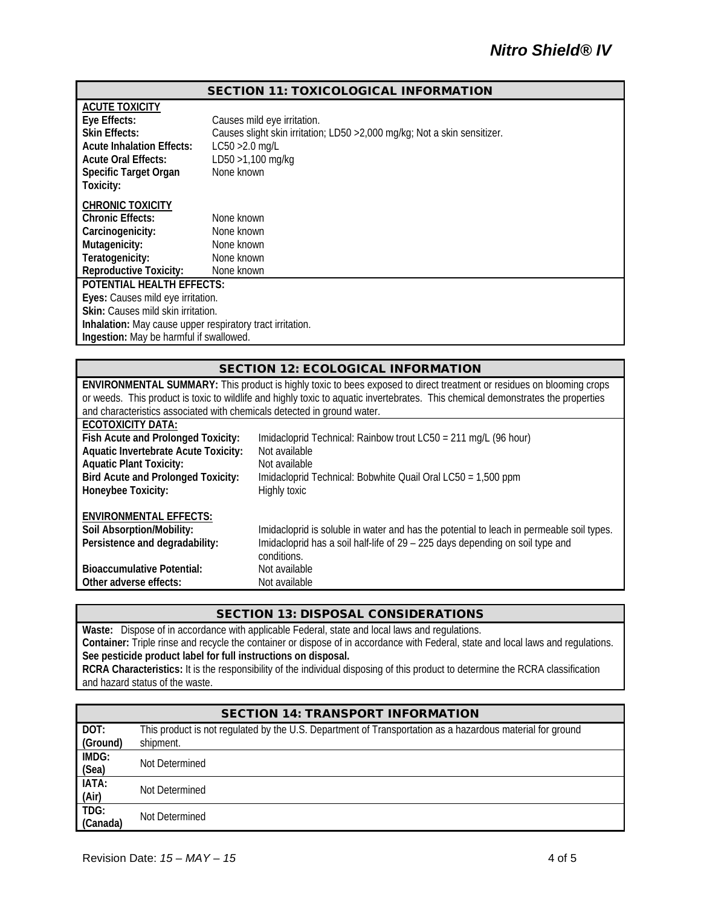## SECTION 11: TOXICOLOGICAL INFORMATION

| <b>ACUTE TOXICITY</b>                                     |                                                                           |  |
|-----------------------------------------------------------|---------------------------------------------------------------------------|--|
| Eye Effects:                                              | Causes mild eye irritation.                                               |  |
| <b>Skin Effects:</b>                                      | Causes slight skin irritation; LD50 > 2,000 mg/kg; Not a skin sensitizer. |  |
| <b>Acute Inhalation Effects:</b>                          | $LC50 > 2.0$ mg/L                                                         |  |
| <b>Acute Oral Effects:</b>                                | LD50 >1,100 mg/kg                                                         |  |
| Specific Target Organ                                     | None known                                                                |  |
| Toxicity:                                                 |                                                                           |  |
| <b>CHRONIC TOXICITY</b>                                   |                                                                           |  |
| <b>Chronic Effects:</b>                                   | None known                                                                |  |
| Carcinogenicity:                                          | None known                                                                |  |
| Mutagenicity:                                             | None known                                                                |  |
| Teratogenicity:                                           | None known                                                                |  |
| <b>Reproductive Toxicity:</b>                             | None known                                                                |  |
| <b>POTENTIAL HEALTH EFFECTS:</b>                          |                                                                           |  |
| Eyes: Causes mild eye irritation.                         |                                                                           |  |
| <b>Skin:</b> Causes mild skin irritation.                 |                                                                           |  |
| Inhalation: May cause upper respiratory tract irritation. |                                                                           |  |
| Ingestion: May be harmful if swallowed.                   |                                                                           |  |

#### SECTION 12: ECOLOGICAL INFORMATION

**ENVIRONMENTAL SUMMARY:** This product is highly toxic to bees exposed to direct treatment or residues on blooming crops or weeds. This product is toxic to wildlife and highly toxic to aquatic invertebrates. This chemical demonstrates the properties and characteristics associated with chemicals detected in ground water.

#### **ECOTOXICITY DATA:**

| LVVIVANII PAIA.                             |                                                                                          |
|---------------------------------------------|------------------------------------------------------------------------------------------|
| Fish Acute and Prolonged Toxicity:          | Imidacloprid Technical: Rainbow trout LC50 = 211 mg/L (96 hour)                          |
| <b>Aquatic Invertebrate Acute Toxicity:</b> | Not available                                                                            |
| <b>Aquatic Plant Toxicity:</b>              | Not available                                                                            |
| <b>Bird Acute and Prolonged Toxicity:</b>   | Imidacloprid Technical: Bobwhite Quail Oral LC50 = 1,500 ppm                             |
| Honeybee Toxicity:                          | Highly toxic                                                                             |
|                                             |                                                                                          |
| <b>ENVIRONMENTAL EFFECTS:</b>               |                                                                                          |
| Soil Absorption/Mobility:                   | Imidacloprid is soluble in water and has the potential to leach in permeable soil types. |
| Persistence and degradability:              | Imidacloprid has a soil half-life of 29 - 225 days depending on soil type and            |
|                                             | conditions.                                                                              |
| <b>Bioaccumulative Potential:</b>           | Not available                                                                            |
| Other adverse effects:                      | Not available                                                                            |

#### SECTION 13: DISPOSAL CONSIDERATIONS

**Waste:** Dispose of in accordance with applicable Federal, state and local laws and regulations. **Container:** Triple rinse and recycle the container or dispose of in accordance with Federal, state and local laws and regulations. **See pesticide product label for full instructions on disposal. RCRA Characteristics:** It is the responsibility of the individual disposing of this product to determine the RCRA classification and hazard status of the waste.

|          | <b>SECTION 14: TRANSPORT INFORMATION</b>                                                                  |
|----------|-----------------------------------------------------------------------------------------------------------|
| DOT:     | This product is not regulated by the U.S. Department of Transportation as a hazardous material for ground |
| (Ground) | shipment.                                                                                                 |
| IMDG:    | Not Determined                                                                                            |
| (Sea)    |                                                                                                           |
| IATA:    | Not Determined                                                                                            |
| (Air)    |                                                                                                           |
| TDG:     | Not Determined                                                                                            |
| (Canada) |                                                                                                           |